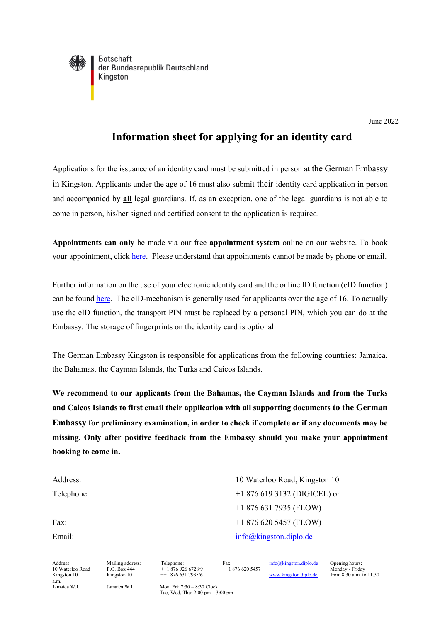

**Botschaft** der Bundesrepublik Deutschland Kingston

## **Information sheet for applying for an identity card**

Applications for the issuance of an identity card must be submitted in person at the German Embassy in Kingston. Applicants under the age of 16 must also submit their identity card application in person and accompanied by **all** legal guardians. If, as an exception, one of the legal guardians is not able to come in person, his/her signed and certified consent to the application is required.

**Appointments can only** be made via our free **appointment system** online on our website. To book your appointment, click [here.](https://service2.diplo.de/rktermin/extern/choose_realmList.do?locationCode=king&request_locale=de) Please understand that appointments cannot be made by phone or email.

Further information on the use of your electronic identity card and the online ID function (eID function) can be found [here.](http://www.personalausweisportal.de/) The eID-mechanism is generally used for applicants over the age of 16. To actually use the eID function, the transport PIN must be replaced by a personal PIN, which you can do at the Embassy. The storage of fingerprints on the identity card is optional.

The German Embassy Kingston is responsible for applications from the following countries: Jamaica, the Bahamas, the Cayman Islands, the Turks and Caicos Islands.

**We recommend to our applicants from the Bahamas, the Cayman Islands and from the Turks and Caicos Islands to first email their application with all supporting documents to the German Embassy for preliminary examination, in order to check if complete or if any documents may be missing. Only after positive feedback from the Embassy should you make your appointment booking to come in.**

Address: 10 Waterloo Road, Kingston 10 Telephone:  $+18766193132 \text{ (DJGICEL) or}$ +1 876 631 7935 (FLOW) Fax:  $+18766205457$  (FLOW) Email: [info@kingston.diplo.de](mailto:info@kingston.diplo.de)

a.m.<br>Jamaica W.I.

Address: Mailing address: Telephone: Fax:  $\frac{\text{info@kingston.diplo.de}}{\text{Hto@kingston.diplo.de}}$  Opening hours:<br>10 Waterloo Road P.O. Box 444 + 1 876 926 6728/9 + 1 876 620 5457 Monday - Frida

10 Waterloo Road P.O. Box 444 ++1 876 620 6728/9 ++1 876 620 5457<br>Kingston 10 ++1 876 631 7935/6 www.kingston.diplo.de

 $M$ onday - Friday<br>from 8.30 a.m. to 11.30

Jamaica W.I.  $Mon. Fri: 7:30 - 8:30$  Clock Tue, Wed, Thu: 2:00 pm – 3:00 pm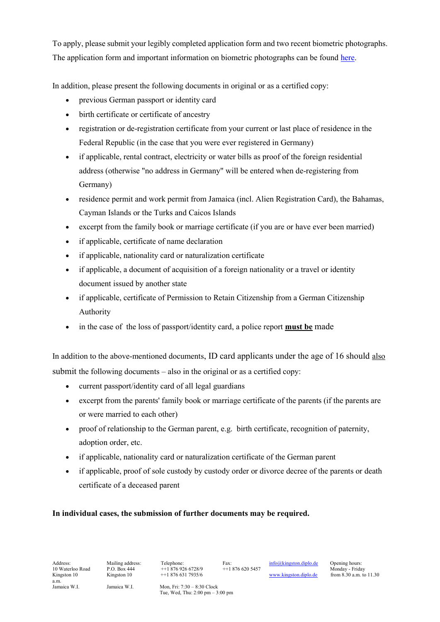To apply, please submit your legibly completed application form and two recent biometric photographs. The application form and important information on biometric photographs can be foun[d here.](https://kingston.diplo.de/jm-de/service/-/1508274)

In addition, please present the following documents in original or as a certified copy:

- previous German passport or identity card
- birth certificate or certificate of ancestry
- registration or de-registration certificate from your current or last place of residence in the Federal Republic (in the case that you were ever registered in Germany)
- if applicable, rental contract, electricity or water bills as proof of the foreign residential address (otherwise "no address in Germany" will be entered when de-registering from Germany)
- residence permit and work permit from Jamaica (incl. Alien Registration Card), the Bahamas, Cayman Islands or the Turks and Caicos Islands
- excerpt from the family book or marriage certificate (if you are or have ever been married)
- if applicable, certificate of name declaration
- if applicable, nationality card or naturalization certificate
- if applicable, a document of acquisition of a foreign nationality or a travel or identity document issued by another state
- if applicable, certificate of Permission to Retain Citizenship from a German Citizenship Authority
- in the case of the loss of passport/identity card, a police report **must be** made

In addition to the above-mentioned documents, ID card applicants under the age of 16 should also submit the following documents – also in the original or as a certified copy:

- current passport/identity card of all legal guardians
- excerpt from the parents' family book or marriage certificate of the parents (if the parents are or were married to each other)
- proof of relationship to the German parent, e.g. birth certificate, recognition of paternity, adoption order, etc.
- if applicable, nationality card or naturalization certificate of the German parent
- if applicable, proof of sole custody by custody order or divorce decree of the parents or death certificate of a deceased parent

## **In individual cases, the submission of further documents may be required.**

Address: Mailing address: Telephone: Fax:  $\frac{\text{info@kingston.diplo.de}}{\text{P. O. Box 444}}$  Opening hours: 10 Waterloo Road P O Box 444 + 1.876.926.6728/9 + 1.876.620.5457

P.O. Box 444 ++1 876 926 6728/9 ++1 876 620 5457 Monday - Friday<br>Kingston 10 ++1 876 631 7935/6 [www.kingston.diplo.de](http://www.kingston.diplo.de/) from 8.30 a.m. to 11.30

Jamaica W.I.  $Mon. Fri: 7:30 - 8:30$  Clock

Tue, Wed, Thu: 2:00 pm – 3:00 pm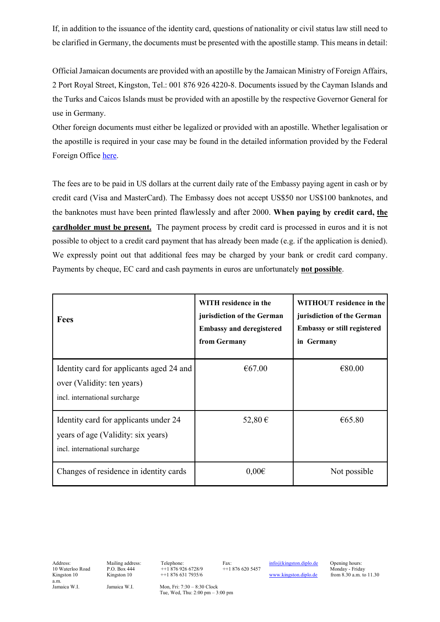If, in addition to the issuance of the identity card, questions of nationality or civil status law still need to be clarified in Germany, the documents must be presented with the apostille stamp. This means in detail:

Official Jamaican documents are provided with an apostille by the Jamaican Ministry of Foreign Affairs, 2 Port Royal Street, Kingston, Tel.: 001 876 926 4220-8. Documents issued by the Cayman Islands and the Turks and Caicos Islands must be provided with an apostille by the respective Governor General for use in Germany.

Other foreign documents must either be legalized or provided with an apostille. Whether legalisation or the apostille is required in your case may be found in the detailed information provided by the Federal Foreign Offic[e here.](https://www.auswaertiges-amt.de/de/service/konsularinfo/internationaler-urkundenverkehr)

The fees are to be paid in US dollars at the current daily rate of the Embassy paying agent in cash or by credit card (Visa and MasterCard). The Embassy does not accept US\$50 nor US\$100 banknotes, and the banknotes must have been printed flawlessly and after 2000. **When paying by credit card, the cardholder must be present.** The payment process by credit card is processed in euros and it is not possible to object to a credit card payment that has already been made (e.g. if the application is denied). We expressly point out that additional fees may be charged by your bank or credit card company. Payments by cheque, EC card and cash payments in euros are unfortunately **not possible**.

| <b>Fees</b>                                                                                                  | WITH residence in the<br>jurisdiction of the German<br><b>Embassy and deregistered</b><br>from Germany | WITHOUT residence in the<br>jurisdiction of the German<br><b>Embassy or still registered</b><br>in Germany |
|--------------------------------------------------------------------------------------------------------------|--------------------------------------------------------------------------------------------------------|------------------------------------------------------------------------------------------------------------|
| Identity card for applicants aged 24 and<br>over (Validity: ten years)<br>incl. international surcharge      | €67.00                                                                                                 | €80.00                                                                                                     |
| Identity card for applicants under 24<br>years of age (Validity: six years)<br>incl. international surcharge | 52,80 €                                                                                                | €65.80                                                                                                     |
| Changes of residence in identity cards                                                                       | $0,00 \in$                                                                                             | Not possible                                                                                               |

a.m.<br>Jamaica W.I.

Address: Mailing address: Telephone: Fax:  $\frac{\text{info@kingston.diplo.de}}{\text{Hto@kingston.diplo.de}}$  Opening hours:<br>10 Waterloo Road P.O. Box 444 + 1 876 926 6728/9 + 1 876 620 5457 Monday - Frida

10 Waterloo Road P.O. Box 444 ++1 876 926 6728/9 ++1 876 620 5457<br>
Kingston 10 ++1 876 631 7935/6 ++1 876 620 5457

 $M$ onday - Friday<br>from 8.30 a.m. to 11.30

Jamaica W.I. Mon, Fri: 7:30 – 8:30 Clock Tue, Wed, Thu: 2:00 pm – 3:00 pm